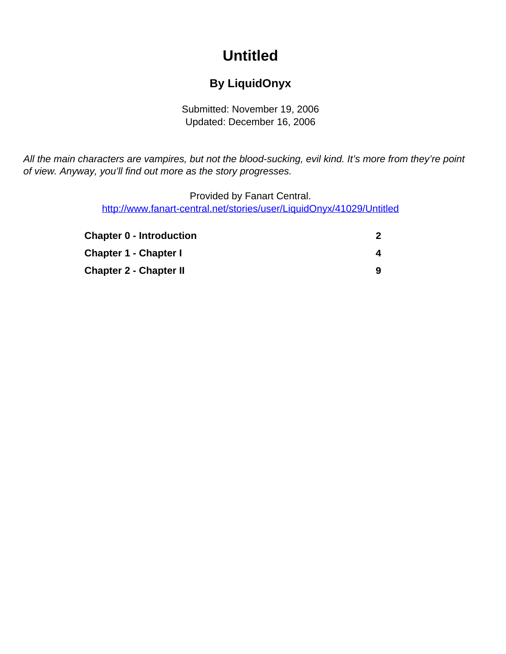# **Untitled**

### **By LiquidOnyx**

Submitted: November 19, 2006 Updated: December 16, 2006

<span id="page-0-0"></span>All the main characters are vampires, but not the blood-sucking, evil kind. It's more from they're point of view. Anyway, you'll find out more as the story progresses.

> Provided by Fanart Central. [http://www.fanart-central.net/stories/user/LiquidOnyx/41029/Untitled](#page-0-0)

| <b>Chapter 0 - Introduction</b> |   |
|---------------------------------|---|
| <b>Chapter 1 - Chapter I</b>    |   |
| <b>Chapter 2 - Chapter II</b>   | 9 |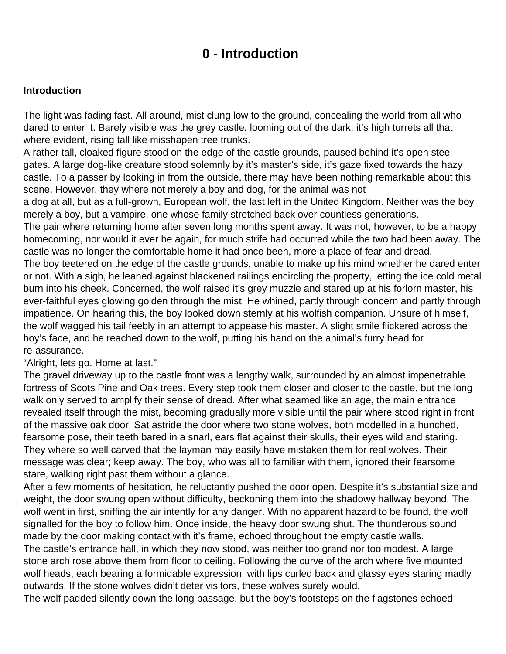### **0 - Introduction**

#### <span id="page-1-0"></span>**Introduction**

The light was fading fast. All around, mist clung low to the ground, concealing the world from all who dared to enter it. Barely visible was the grey castle, looming out of the dark, it's high turrets all that where evident, rising tall like misshapen tree trunks.

A rather tall, cloaked figure stood on the edge of the castle grounds, paused behind it's open steel gates. A large dog-like creature stood solemnly by it's master's side, it's gaze fixed towards the hazy castle. To a passer by looking in from the outside, there may have been nothing remarkable about this scene. However, they where not merely a boy and dog, for the animal was not

a dog at all, but as a full-grown, European wolf, the last left in the United Kingdom. Neither was the boy merely a boy, but a vampire, one whose family stretched back over countless generations.

The pair where returning home after seven long months spent away. It was not, however, to be a happy homecoming, nor would it ever be again, for much strife had occurred while the two had been away. The castle was no longer the comfortable home it had once been, more a place of fear and dread.

The boy teetered on the edge of the castle grounds, unable to make up his mind whether he dared enter or not. With a sigh, he leaned against blackened railings encircling the property, letting the ice cold metal burn into his cheek. Concerned, the wolf raised it's grey muzzle and stared up at his forlorn master, his ever-faithful eyes glowing golden through the mist. He whined, partly through concern and partly through impatience. On hearing this, the boy looked down sternly at his wolfish companion. Unsure of himself, the wolf wagged his tail feebly in an attempt to appease his master. A slight smile flickered across the boy's face, and he reached down to the wolf, putting his hand on the animal's furry head for re-assurance.

"Alright, lets go. Home at last."

The gravel driveway up to the castle front was a lengthy walk, surrounded by an almost impenetrable fortress of Scots Pine and Oak trees. Every step took them closer and closer to the castle, but the long walk only served to amplify their sense of dread. After what seamed like an age, the main entrance revealed itself through the mist, becoming gradually more visible until the pair where stood right in front of the massive oak door. Sat astride the door where two stone wolves, both modelled in a hunched, fearsome pose, their teeth bared in a snarl, ears flat against their skulls, their eyes wild and staring. They where so well carved that the layman may easily have mistaken them for real wolves. Their message was clear; keep away. The boy, who was all to familiar with them, ignored their fearsome stare, walking right past them without a glance.

After a few moments of hesitation, he reluctantly pushed the door open. Despite it's substantial size and weight, the door swung open without difficulty, beckoning them into the shadowy hallway beyond. The wolf went in first, sniffing the air intently for any danger. With no apparent hazard to be found, the wolf signalled for the boy to follow him. Once inside, the heavy door swung shut. The thunderous sound made by the door making contact with it's frame, echoed throughout the empty castle walls.

The castle's entrance hall, in which they now stood, was neither too grand nor too modest. A large stone arch rose above them from floor to ceiling. Following the curve of the arch where five mounted wolf heads, each bearing a formidable expression, with lips curled back and glassy eyes staring madly outwards. If the stone wolves didn't deter visitors, these wolves surely would.

The wolf padded silently down the long passage, but the boy's footsteps on the flagstones echoed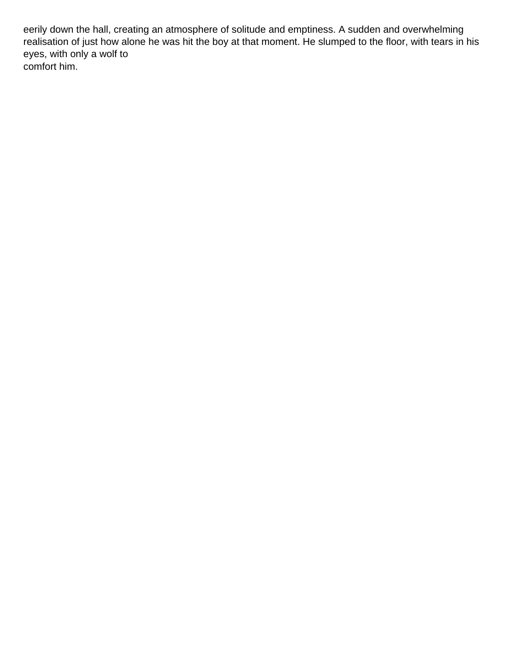eerily down the hall, creating an atmosphere of solitude and emptiness. A sudden and overwhelming realisation of just how alone he was hit the boy at that moment. He slumped to the floor, with tears in his eyes, with only a wolf to comfort him.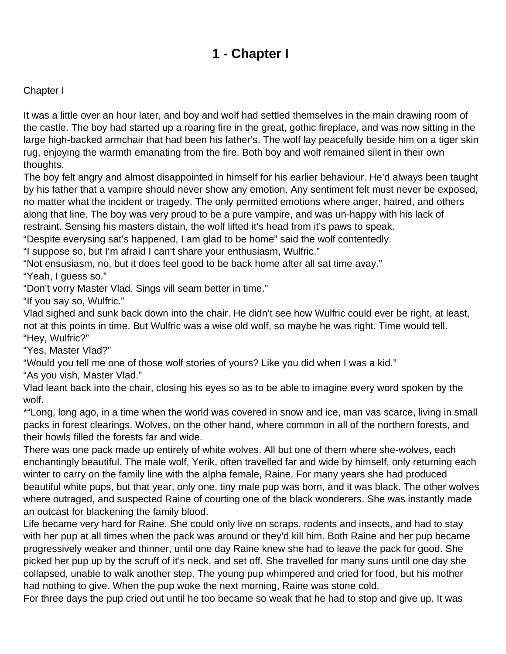## **1 - Chapter I**

#### <span id="page-3-0"></span>Chapter I

It was a little over an hour later, and boy and wolf had settled themselves in the main drawing room of the castle. The boy had started up a roaring fire in the great, gothic fireplace, and was now sitting in the large high-backed armchair that had been his father's. The wolf lay peacefully beside him on a tiger skin rug, enjoying the warmth emanating from the fire. Both boy and wolf remained silent in their own thoughts.

The boy felt angry and almost disappointed in himself for his earlier behaviour. He'd always been taught by his father that a vampire should never show any emotion. Any sentiment felt must never be exposed, no matter what the incident or tragedy. The only permitted emotions where anger, hatred, and others along that line. The boy was very proud to be a pure vampire, and was un-happy with his lack of restraint. Sensing his masters distain, the wolf lifted it's head from it's paws to speak.

"Despite everysing sat's happened, I am glad to be home" said the wolf contentedly.

"I suppose so, but I'm afraid I can't share your enthusiasm, Wulfric."

"Not ensusiasm, no, but it does feel good to be back home after all sat time avay."

"Yeah, I guess so."

"Don't vorry Master Vlad. Sings vill seam better in time."

"If you say so, Wulfric."

Vlad sighed and sunk back down into the chair. He didn't see how Wulfric could ever be right, at least, not at this points in time. But Wulfric was a wise old wolf, so maybe he was right. Time would tell. "Hey, Wulfric?"

"Yes, Master Vlad?"

"Would you tell me one of those wolf stories of yours? Like you did when I was a kid."

"As you vish, Master Vlad."

Vlad leant back into the chair, closing his eyes so as to be able to imagine every word spoken by the wolf.

\*"Long, long ago, in a time when the world was covered in snow and ice, man vas scarce, living in small packs in forest clearings. Wolves, on the other hand, where common in all of the northern forests, and their howls filled the forests far and wide.

There was one pack made up entirely of white wolves. All but one of them where she-wolves, each enchantingly beautiful. The male wolf, Yerik, often travelled far and wide by himself, only returning each winter to carry on the family line with the alpha female, Raine. For many years she had produced beautiful white pups, but that year, only one, tiny male pup was born, and it was black. The other wolves where outraged, and suspected Raine of courting one of the black wonderers. She was instantly made an outcast for blackening the family blood.

Life became very hard for Raine. She could only live on scraps, rodents and insects, and had to stay with her pup at all times when the pack was around or they'd kill him. Both Raine and her pup became progressively weaker and thinner, until one day Raine knew she had to leave the pack for good. She picked her pup up by the scruff of it's neck, and set off. She travelled for many suns until one day she collapsed, unable to walk another step. The young pup whimpered and cried for food, but his mother had nothing to give. When the pup woke the next morning, Raine was stone cold.

For three days the pup cried out until he too became so weak that he had to stop and give up. It was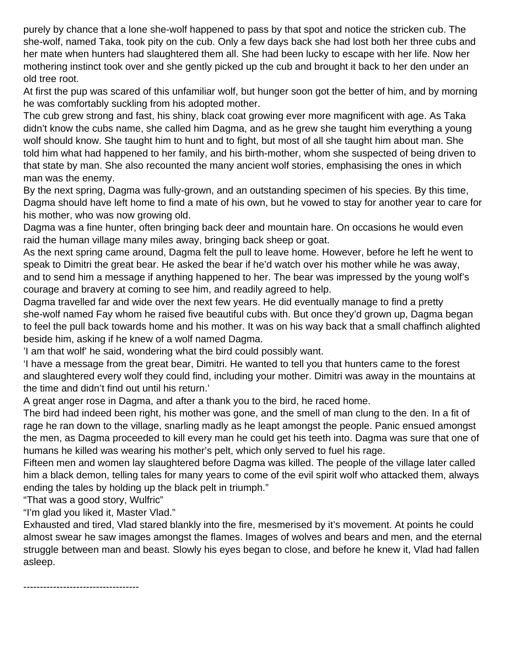purely by chance that a lone she-wolf happened to pass by that spot and notice the stricken cub. The she-wolf, named Taka, took pity on the cub. Only a few days back she had lost both her three cubs and her mate when hunters had slaughtered them all. She had been lucky to escape with her life. Now her mothering instinct took over and she gently picked up the cub and brought it back to her den under an old tree root.

At first the pup was scared of this unfamiliar wolf, but hunger soon got the better of him, and by morning he was comfortably suckling from his adopted mother.

The cub grew strong and fast, his shiny, black coat growing ever more magnificent with age. As Taka didn't know the cubs name, she called him Dagma, and as he grew she taught him everything a young wolf should know. She taught him to hunt and to fight, but most of all she taught him about man. She told him what had happened to her family, and his birth-mother, whom she suspected of being driven to that state by man. She also recounted the many ancient wolf stories, emphasising the ones in which man was the enemy.

By the next spring, Dagma was fully-grown, and an outstanding specimen of his species. By this time, Dagma should have left home to find a mate of his own, but he vowed to stay for another year to care for his mother, who was now growing old.

Dagma was a fine hunter, often bringing back deer and mountain hare. On occasions he would even raid the human village many miles away, bringing back sheep or goat.

As the next spring came around, Dagma felt the pull to leave home. However, before he left he went to speak to Dimitri the great bear. He asked the bear if he'd watch over his mother while he was away, and to send him a message if anything happened to her. The bear was impressed by the young wolf's courage and bravery at coming to see him, and readily agreed to help.

Dagma travelled far and wide over the next few years. He did eventually manage to find a pretty she-wolf named Fay whom he raised five beautiful cubs with. But once they'd grown up, Dagma began to feel the pull back towards home and his mother. It was on his way back that a small chaffinch alighted beside him, asking if he knew of a wolf named Dagma.

'I am that wolf' he said, wondering what the bird could possibly want.

'I have a message from the great bear, Dimitri. He wanted to tell you that hunters came to the forest and slaughtered every wolf they could find, including your mother. Dimitri was away in the mountains at the time and didn't find out until his return.'

A great anger rose in Dagma, and after a thank you to the bird, he raced home.

The bird had indeed been right, his mother was gone, and the smell of man clung to the den. In a fit of rage he ran down to the village, snarling madly as he leapt amongst the people. Panic ensued amongst the men, as Dagma proceeded to kill every man he could get his teeth into. Dagma was sure that one of humans he killed was wearing his mother's pelt, which only served to fuel his rage.

Fifteen men and women lay slaughtered before Dagma was killed. The people of the village later called him a black demon, telling tales for many years to come of the evil spirit wolf who attacked them, always ending the tales by holding up the black pelt in triumph."

"That was a good story, Wulfric"

"I'm glad you liked it, Master Vlad."

Exhausted and tired, Vlad stared blankly into the fire, mesmerised by it's movement. At points he could almost swear he saw images amongst the flames. Images of wolves and bears and men, and the eternal struggle between man and beast. Slowly his eyes began to close, and before he knew it, Vlad had fallen asleep.

-----------------------------------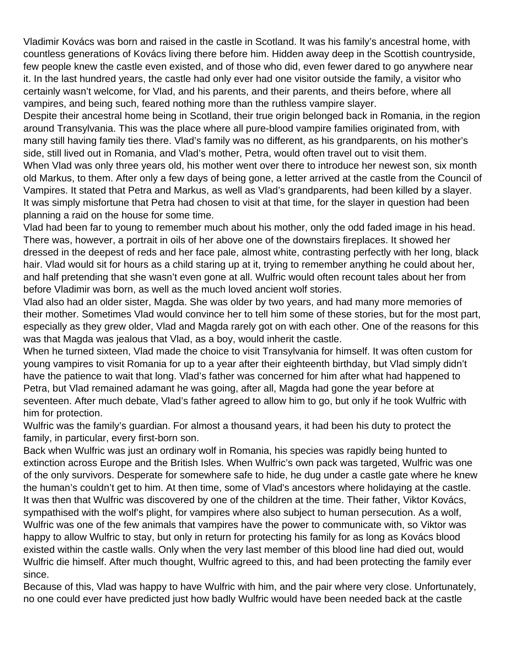Vladimir Kovács was born and raised in the castle in Scotland. It was his family's ancestral home, with countless generations of Kovács living there before him. Hidden away deep in the Scottish countryside, few people knew the castle even existed, and of those who did, even fewer dared to go anywhere near it. In the last hundred years, the castle had only ever had one visitor outside the family, a visitor who certainly wasn't welcome, for Vlad, and his parents, and their parents, and theirs before, where all vampires, and being such, feared nothing more than the ruthless vampire slayer.

Despite their ancestral home being in Scotland, their true origin belonged back in Romania, in the region around Transylvania. This was the place where all pure-blood vampire families originated from, with many still having family ties there. Vlad's family was no different, as his grandparents, on his mother's side, still lived out in Romania, and Vlad's mother, Petra, would often travel out to visit them.

When Vlad was only three years old, his mother went over there to introduce her newest son, six month old Markus, to them. After only a few days of being gone, a letter arrived at the castle from the Council of Vampires. It stated that Petra and Markus, as well as Vlad's grandparents, had been killed by a slayer. It was simply misfortune that Petra had chosen to visit at that time, for the slayer in question had been planning a raid on the house for some time.

Vlad had been far to young to remember much about his mother, only the odd faded image in his head. There was, however, a portrait in oils of her above one of the downstairs fireplaces. It showed her dressed in the deepest of reds and her face pale, almost white, contrasting perfectly with her long, black hair. Vlad would sit for hours as a child staring up at it, trying to remember anything he could about her, and half pretending that she wasn't even gone at all. Wulfric would often recount tales about her from before Vladimir was born, as well as the much loved ancient wolf stories.

Vlad also had an older sister, Magda. She was older by two years, and had many more memories of their mother. Sometimes Vlad would convince her to tell him some of these stories, but for the most part, especially as they grew older, Vlad and Magda rarely got on with each other. One of the reasons for this was that Magda was jealous that Vlad, as a boy, would inherit the castle.

When he turned sixteen, Vlad made the choice to visit Transylvania for himself. It was often custom for young vampires to visit Romania for up to a year after their eighteenth birthday, but Vlad simply didn't have the patience to wait that long. Vlad's father was concerned for him after what had happened to Petra, but Vlad remained adamant he was going, after all, Magda had gone the year before at seventeen. After much debate, Vlad's father agreed to allow him to go, but only if he took Wulfric with him for protection.

Wulfric was the family's guardian. For almost a thousand years, it had been his duty to protect the family, in particular, every first-born son.

Back when Wulfric was just an ordinary wolf in Romania, his species was rapidly being hunted to extinction across Europe and the British Isles. When Wulfric's own pack was targeted, Wulfric was one of the only survivors. Desperate for somewhere safe to hide, he dug under a castle gate where he knew the human's couldn't get to him. At then time, some of Vlad's ancestors where holidaying at the castle. It was then that Wulfric was discovered by one of the children at the time. Their father, Viktor Kovács, sympathised with the wolf's plight, for vampires where also subject to human persecution. As a wolf, Wulfric was one of the few animals that vampires have the power to communicate with, so Viktor was happy to allow Wulfric to stay, but only in return for protecting his family for as long as Kovács blood existed within the castle walls. Only when the very last member of this blood line had died out, would Wulfric die himself. After much thought, Wulfric agreed to this, and had been protecting the family ever since.

Because of this, Vlad was happy to have Wulfric with him, and the pair where very close. Unfortunately, no one could ever have predicted just how badly Wulfric would have been needed back at the castle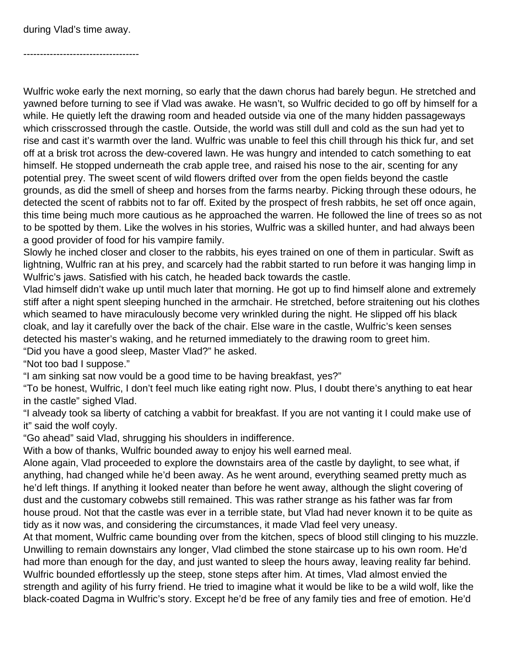during Vlad's time away.

-----------------------------------

Wulfric woke early the next morning, so early that the dawn chorus had barely begun. He stretched and yawned before turning to see if Vlad was awake. He wasn't, so Wulfric decided to go off by himself for a while. He quietly left the drawing room and headed outside via one of the many hidden passageways which crisscrossed through the castle. Outside, the world was still dull and cold as the sun had yet to rise and cast it's warmth over the land. Wulfric was unable to feel this chill through his thick fur, and set off at a brisk trot across the dew-covered lawn. He was hungry and intended to catch something to eat himself. He stopped underneath the crab apple tree, and raised his nose to the air, scenting for any potential prey. The sweet scent of wild flowers drifted over from the open fields beyond the castle grounds, as did the smell of sheep and horses from the farms nearby. Picking through these odours, he detected the scent of rabbits not to far off. Exited by the prospect of fresh rabbits, he set off once again, this time being much more cautious as he approached the warren. He followed the line of trees so as not to be spotted by them. Like the wolves in his stories, Wulfric was a skilled hunter, and had always been a good provider of food for his vampire family.

Slowly he inched closer and closer to the rabbits, his eyes trained on one of them in particular. Swift as lightning, Wulfric ran at his prey, and scarcely had the rabbit started to run before it was hanging limp in Wulfric's jaws. Satisfied with his catch, he headed back towards the castle.

Vlad himself didn't wake up until much later that morning. He got up to find himself alone and extremely stiff after a night spent sleeping hunched in the armchair. He stretched, before straitening out his clothes which seamed to have miraculously become very wrinkled during the night. He slipped off his black cloak, and lay it carefully over the back of the chair. Else ware in the castle, Wulfric's keen senses detected his master's waking, and he returned immediately to the drawing room to greet him.

"Did you have a good sleep, Master Vlad?" he asked.

"Not too bad I suppose."

"I am sinking sat now vould be a good time to be having breakfast, yes?"

"To be honest, Wulfric, I don't feel much like eating right now. Plus, I doubt there's anything to eat hear in the castle" sighed Vlad.

"I alveady took sa liberty of catching a vabbit for breakfast. If you are not vanting it I could make use of it" said the wolf coyly.

"Go ahead" said Vlad, shrugging his shoulders in indifference.

With a bow of thanks, Wulfric bounded away to enjoy his well earned meal.

Alone again, Vlad proceeded to explore the downstairs area of the castle by daylight, to see what, if anything, had changed while he'd been away. As he went around, everything seamed pretty much as he'd left things. If anything it looked neater than before he went away, although the slight covering of dust and the customary cobwebs still remained. This was rather strange as his father was far from house proud. Not that the castle was ever in a terrible state, but Vlad had never known it to be quite as tidy as it now was, and considering the circumstances, it made Vlad feel very uneasy.

At that moment, Wulfric came bounding over from the kitchen, specs of blood still clinging to his muzzle. Unwilling to remain downstairs any longer, Vlad climbed the stone staircase up to his own room. He'd had more than enough for the day, and just wanted to sleep the hours away, leaving reality far behind. Wulfric bounded effortlessly up the steep, stone steps after him. At times, Vlad almost envied the strength and agility of his furry friend. He tried to imagine what it would be like to be a wild wolf, like the black-coated Dagma in Wulfric's story. Except he'd be free of any family ties and free of emotion. He'd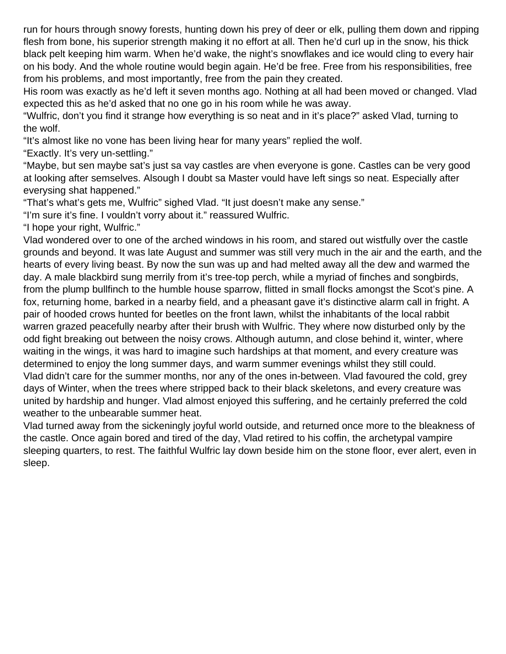run for hours through snowy forests, hunting down his prey of deer or elk, pulling them down and ripping flesh from bone, his superior strength making it no effort at all. Then he'd curl up in the snow, his thick black pelt keeping him warm. When he'd wake, the night's snowflakes and ice would cling to every hair on his body. And the whole routine would begin again. He'd be free. Free from his responsibilities, free from his problems, and most importantly, free from the pain they created.

His room was exactly as he'd left it seven months ago. Nothing at all had been moved or changed. Vlad expected this as he'd asked that no one go in his room while he was away.

"Wulfric, don't you find it strange how everything is so neat and in it's place?" asked Vlad, turning to the wolf.

"It's almost like no vone has been living hear for many years" replied the wolf.

"Exactly. It's very un-settling."

"Maybe, but sen maybe sat's just sa vay castles are vhen everyone is gone. Castles can be very good at looking after semselves. Alsough I doubt sa Master vould have left sings so neat. Especially after everysing shat happened."

"That's what's gets me, Wulfric" sighed Vlad. "It just doesn't make any sense."

"I'm sure it's fine. I vouldn't vorry about it." reassured Wulfric.

"I hope your right, Wulfric."

Vlad wondered over to one of the arched windows in his room, and stared out wistfully over the castle grounds and beyond. It was late August and summer was still very much in the air and the earth, and the hearts of every living beast. By now the sun was up and had melted away all the dew and warmed the day. A male blackbird sung merrily from it's tree-top perch, while a myriad of finches and songbirds, from the plump bullfinch to the humble house sparrow, flitted in small flocks amongst the Scot's pine. A fox, returning home, barked in a nearby field, and a pheasant gave it's distinctive alarm call in fright. A pair of hooded crows hunted for beetles on the front lawn, whilst the inhabitants of the local rabbit warren grazed peacefully nearby after their brush with Wulfric. They where now disturbed only by the odd fight breaking out between the noisy crows. Although autumn, and close behind it, winter, where waiting in the wings, it was hard to imagine such hardships at that moment, and every creature was determined to enjoy the long summer days, and warm summer evenings whilst they still could. Vlad didn't care for the summer months, nor any of the ones in-between. Vlad favoured the cold, grey days of Winter, when the trees where stripped back to their black skeletons, and every creature was united by hardship and hunger. Vlad almost enjoyed this suffering, and he certainly preferred the cold weather to the unbearable summer heat.

Vlad turned away from the sickeningly joyful world outside, and returned once more to the bleakness of the castle. Once again bored and tired of the day, Vlad retired to his coffin, the archetypal vampire sleeping quarters, to rest. The faithful Wulfric lay down beside him on the stone floor, ever alert, even in sleep.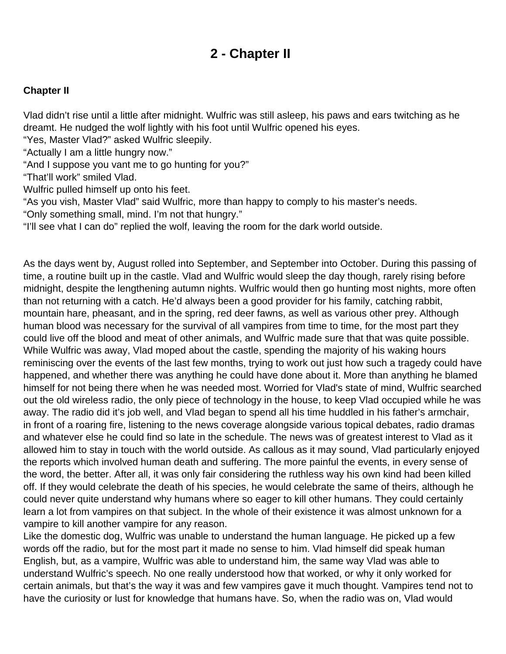### **2 - Chapter II**

#### <span id="page-8-0"></span>**Chapter II**

Vlad didn't rise until a little after midnight. Wulfric was still asleep, his paws and ears twitching as he dreamt. He nudged the wolf lightly with his foot until Wulfric opened his eyes.

"Yes, Master Vlad?" asked Wulfric sleepily.

"Actually I am a little hungry now."

"And I suppose you vant me to go hunting for you?"

"That'll work" smiled Vlad.

Wulfric pulled himself up onto his feet.

"As you vish, Master Vlad" said Wulfric, more than happy to comply to his master's needs.

"Only something small, mind. I'm not that hungry."

"I'll see vhat I can do" replied the wolf, leaving the room for the dark world outside.

As the days went by, August rolled into September, and September into October. During this passing of time, a routine built up in the castle. Vlad and Wulfric would sleep the day though, rarely rising before midnight, despite the lengthening autumn nights. Wulfric would then go hunting most nights, more often than not returning with a catch. He'd always been a good provider for his family, catching rabbit, mountain hare, pheasant, and in the spring, red deer fawns, as well as various other prey. Although human blood was necessary for the survival of all vampires from time to time, for the most part they could live off the blood and meat of other animals, and Wulfric made sure that that was quite possible. While Wulfric was away, Vlad moped about the castle, spending the majority of his waking hours reminiscing over the events of the last few months, trying to work out just how such a tragedy could have happened, and whether there was anything he could have done about it. More than anything he blamed himself for not being there when he was needed most. Worried for Vlad's state of mind, Wulfric searched out the old wireless radio, the only piece of technology in the house, to keep Vlad occupied while he was away. The radio did it's job well, and Vlad began to spend all his time huddled in his father's armchair, in front of a roaring fire, listening to the news coverage alongside various topical debates, radio dramas and whatever else he could find so late in the schedule. The news was of greatest interest to Vlad as it allowed him to stay in touch with the world outside. As callous as it may sound, Vlad particularly enjoyed the reports which involved human death and suffering. The more painful the events, in every sense of the word, the better. After all, it was only fair considering the ruthless way his own kind had been killed off. If they would celebrate the death of his species, he would celebrate the same of theirs, although he could never quite understand why humans where so eager to kill other humans. They could certainly learn a lot from vampires on that subject. In the whole of their existence it was almost unknown for a vampire to kill another vampire for any reason.

Like the domestic dog, Wulfric was unable to understand the human language. He picked up a few words off the radio, but for the most part it made no sense to him. Vlad himself did speak human English, but, as a vampire, Wulfric was able to understand him, the same way Vlad was able to understand Wulfric's speech. No one really understood how that worked, or why it only worked for certain animals, but that's the way it was and few vampires gave it much thought. Vampires tend not to have the curiosity or lust for knowledge that humans have. So, when the radio was on, Vlad would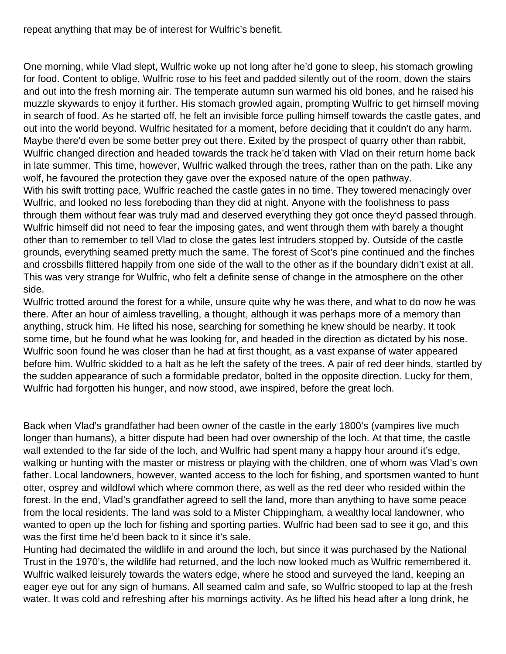repeat anything that may be of interest for Wulfric's benefit.

One morning, while Vlad slept, Wulfric woke up not long after he'd gone to sleep, his stomach growling for food. Content to oblige, Wulfric rose to his feet and padded silently out of the room, down the stairs and out into the fresh morning air. The temperate autumn sun warmed his old bones, and he raised his muzzle skywards to enjoy it further. His stomach growled again, prompting Wulfric to get himself moving in search of food. As he started off, he felt an invisible force pulling himself towards the castle gates, and out into the world beyond. Wulfric hesitated for a moment, before deciding that it couldn't do any harm. Maybe there'd even be some better prey out there. Exited by the prospect of quarry other than rabbit, Wulfric changed direction and headed towards the track he'd taken with Vlad on their return home back in late summer. This time, however, Wulfric walked through the trees, rather than on the path. Like any wolf, he favoured the protection they gave over the exposed nature of the open pathway.

With his swift trotting pace, Wulfric reached the castle gates in no time. They towered menacingly over Wulfric, and looked no less foreboding than they did at night. Anyone with the foolishness to pass through them without fear was truly mad and deserved everything they got once they'd passed through. Wulfric himself did not need to fear the imposing gates, and went through them with barely a thought other than to remember to tell Vlad to close the gates lest intruders stopped by. Outside of the castle grounds, everything seamed pretty much the same. The forest of Scot's pine continued and the finches and crossbills flittered happily from one side of the wall to the other as if the boundary didn't exist at all. This was very strange for Wulfric, who felt a definite sense of change in the atmosphere on the other side.

Wulfric trotted around the forest for a while, unsure quite why he was there, and what to do now he was there. After an hour of aimless travelling, a thought, although it was perhaps more of a memory than anything, struck him. He lifted his nose, searching for something he knew should be nearby. It took some time, but he found what he was looking for, and headed in the direction as dictated by his nose. Wulfric soon found he was closer than he had at first thought, as a vast expanse of water appeared before him. Wulfric skidded to a halt as he left the safety of the trees. A pair of red deer hinds, startled by the sudden appearance of such a formidable predator, bolted in the opposite direction. Lucky for them, Wulfric had forgotten his hunger, and now stood, awe inspired, before the great loch.

Back when Vlad's grandfather had been owner of the castle in the early 1800's (vampires live much longer than humans), a bitter dispute had been had over ownership of the loch. At that time, the castle wall extended to the far side of the loch, and Wulfric had spent many a happy hour around it's edge, walking or hunting with the master or mistress or playing with the children, one of whom was Vlad's own father. Local landowners, however, wanted access to the loch for fishing, and sportsmen wanted to hunt otter, osprey and wildfowl which where common there, as well as the red deer who resided within the forest. In the end, Vlad's grandfather agreed to sell the land, more than anything to have some peace from the local residents. The land was sold to a Mister Chippingham, a wealthy local landowner, who wanted to open up the loch for fishing and sporting parties. Wulfric had been sad to see it go, and this was the first time he'd been back to it since it's sale.

Hunting had decimated the wildlife in and around the loch, but since it was purchased by the National Trust in the 1970's, the wildlife had returned, and the loch now looked much as Wulfric remembered it. Wulfric walked leisurely towards the waters edge, where he stood and surveyed the land, keeping an eager eye out for any sign of humans. All seamed calm and safe, so Wulfric stooped to lap at the fresh water. It was cold and refreshing after his mornings activity. As he lifted his head after a long drink, he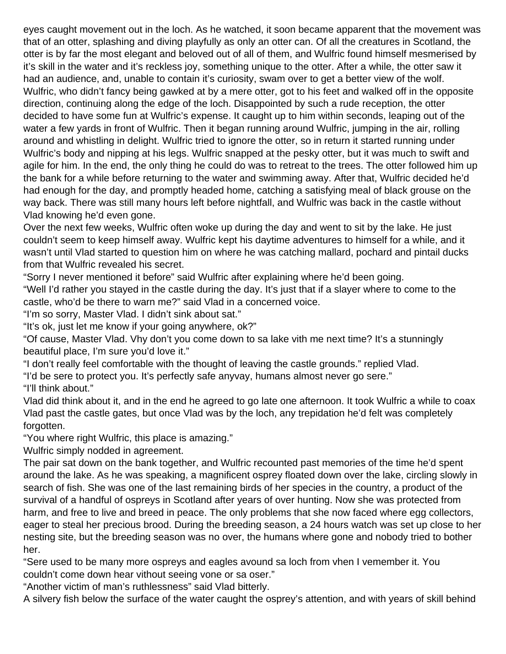eyes caught movement out in the loch. As he watched, it soon became apparent that the movement was that of an otter, splashing and diving playfully as only an otter can. Of all the creatures in Scotland, the otter is by far the most elegant and beloved out of all of them, and Wulfric found himself mesmerised by it's skill in the water and it's reckless joy, something unique to the otter. After a while, the otter saw it had an audience, and, unable to contain it's curiosity, swam over to get a better view of the wolf. Wulfric, who didn't fancy being gawked at by a mere otter, got to his feet and walked off in the opposite direction, continuing along the edge of the loch. Disappointed by such a rude reception, the otter decided to have some fun at Wulfric's expense. It caught up to him within seconds, leaping out of the water a few yards in front of Wulfric. Then it began running around Wulfric, jumping in the air, rolling around and whistling in delight. Wulfric tried to ignore the otter, so in return it started running under Wulfric's body and nipping at his legs. Wulfric snapped at the pesky otter, but it was much to swift and agile for him. In the end, the only thing he could do was to retreat to the trees. The otter followed him up the bank for a while before returning to the water and swimming away. After that, Wulfric decided he'd had enough for the day, and promptly headed home, catching a satisfying meal of black grouse on the way back. There was still many hours left before nightfall, and Wulfric was back in the castle without Vlad knowing he'd even gone.

Over the next few weeks, Wulfric often woke up during the day and went to sit by the lake. He just couldn't seem to keep himself away. Wulfric kept his daytime adventures to himself for a while, and it wasn't until Vlad started to question him on where he was catching mallard, pochard and pintail ducks from that Wulfric revealed his secret.

"Sorry I never mentioned it before" said Wulfric after explaining where he'd been going.

"Well I'd rather you stayed in the castle during the day. It's just that if a slayer where to come to the castle, who'd be there to warn me?" said Vlad in a concerned voice.

"I'm so sorry, Master Vlad. I didn't sink about sat."

"It's ok, just let me know if your going anywhere, ok?"

"Of cause, Master Vlad. Vhy don't you come down to sa lake vith me next time? It's a stunningly beautiful place, I'm sure you'd love it."

"I don't really feel comfortable with the thought of leaving the castle grounds." replied Vlad.

"I'd be sere to protect you. It's perfectly safe anyvay, humans almost never go sere."

"I'll think about."

Vlad did think about it, and in the end he agreed to go late one afternoon. It took Wulfric a while to coax Vlad past the castle gates, but once Vlad was by the loch, any trepidation he'd felt was completely forgotten.

"You where right Wulfric, this place is amazing."

Wulfric simply nodded in agreement.

The pair sat down on the bank together, and Wulfric recounted past memories of the time he'd spent around the lake. As he was speaking, a magnificent osprey floated down over the lake, circling slowly in search of fish. She was one of the last remaining birds of her species in the country, a product of the survival of a handful of ospreys in Scotland after years of over hunting. Now she was protected from harm, and free to live and breed in peace. The only problems that she now faced where egg collectors, eager to steal her precious brood. During the breeding season, a 24 hours watch was set up close to her nesting site, but the breeding season was no over, the humans where gone and nobody tried to bother her.

"Sere used to be many more ospreys and eagles avound sa loch from vhen I vemember it. You couldn't come down hear vithout seeing vone or sa oser."

"Another victim of man's ruthlessness" said Vlad bitterly.

A silvery fish below the surface of the water caught the osprey's attention, and with years of skill behind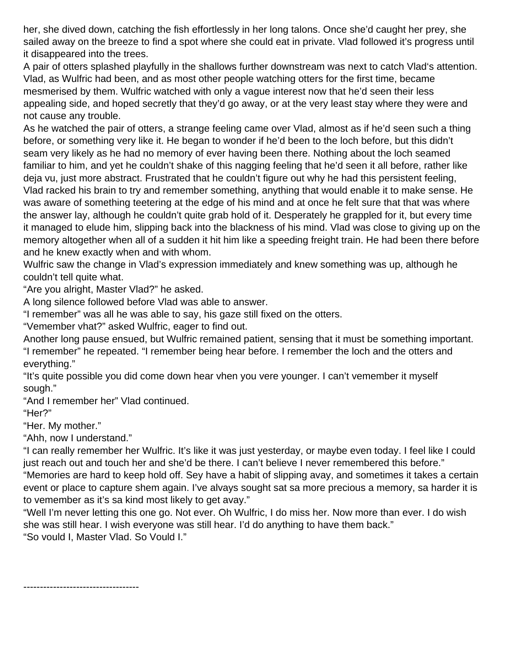her, she dived down, catching the fish effortlessly in her long talons. Once she'd caught her prey, she sailed away on the breeze to find a spot where she could eat in private. Vlad followed it's progress until it disappeared into the trees.

A pair of otters splashed playfully in the shallows further downstream was next to catch Vlad's attention. Vlad, as Wulfric had been, and as most other people watching otters for the first time, became mesmerised by them. Wulfric watched with only a vague interest now that he'd seen their less appealing side, and hoped secretly that they'd go away, or at the very least stay where they were and not cause any trouble.

As he watched the pair of otters, a strange feeling came over Vlad, almost as if he'd seen such a thing before, or something very like it. He began to wonder if he'd been to the loch before, but this didn't seam very likely as he had no memory of ever having been there. Nothing about the loch seamed familiar to him, and yet he couldn't shake of this nagging feeling that he'd seen it all before, rather like deja vu, just more abstract. Frustrated that he couldn't figure out why he had this persistent feeling, Vlad racked his brain to try and remember something, anything that would enable it to make sense. He was aware of something teetering at the edge of his mind and at once he felt sure that that was where the answer lay, although he couldn't quite grab hold of it. Desperately he grappled for it, but every time it managed to elude him, slipping back into the blackness of his mind. Vlad was close to giving up on the memory altogether when all of a sudden it hit him like a speeding freight train. He had been there before and he knew exactly when and with whom.

Wulfric saw the change in Vlad's expression immediately and knew something was up, although he couldn't tell quite what.

"Are you alright, Master Vlad?" he asked.

A long silence followed before Vlad was able to answer.

"I remember" was all he was able to say, his gaze still fixed on the otters.

"Vemember vhat?" asked Wulfric, eager to find out.

Another long pause ensued, but Wulfric remained patient, sensing that it must be something important. "I remember" he repeated. "I remember being hear before. I remember the loch and the otters and everything."

"It's quite possible you did come down hear vhen you vere younger. I can't vemember it myself sough."

"And I remember her" Vlad continued.

"Her?"

"Her. My mother."

"Ahh, now I understand."

-----------------------------------

"I can really remember her Wulfric. It's like it was just yesterday, or maybe even today. I feel like I could just reach out and touch her and she'd be there. I can't believe I never remembered this before."

"Memories are hard to keep hold off. Sey have a habit of slipping avay, and sometimes it takes a certain event or place to capture shem again. I've alvays sought sat sa more precious a memory, sa harder it is to vemember as it's sa kind most likely to get avay."

"Well I'm never letting this one go. Not ever. Oh Wulfric, I do miss her. Now more than ever. I do wish she was still hear. I wish everyone was still hear. I'd do anything to have them back." "So vould I, Master Vlad. So Vould I."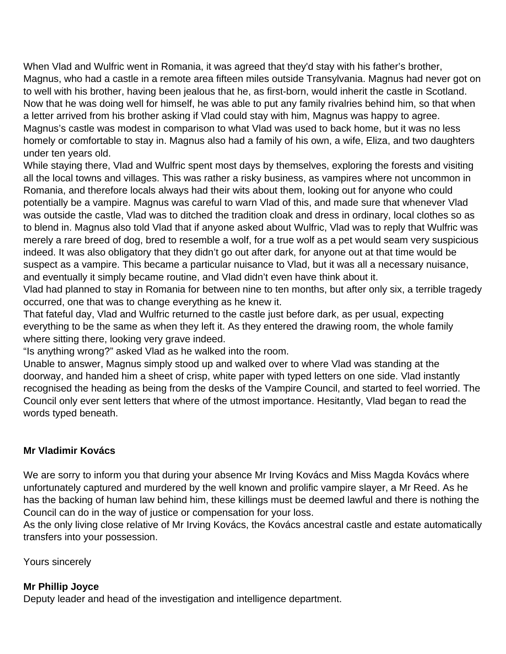When Vlad and Wulfric went in Romania, it was agreed that they'd stay with his father's brother, Magnus, who had a castle in a remote area fifteen miles outside Transylvania. Magnus had never got on to well with his brother, having been jealous that he, as first-born, would inherit the castle in Scotland. Now that he was doing well for himself, he was able to put any family rivalries behind him, so that when a letter arrived from his brother asking if Vlad could stay with him, Magnus was happy to agree. Magnus's castle was modest in comparison to what Vlad was used to back home, but it was no less homely or comfortable to stay in. Magnus also had a family of his own, a wife, Eliza, and two daughters under ten years old.

While staying there, Vlad and Wulfric spent most days by themselves, exploring the forests and visiting all the local towns and villages. This was rather a risky business, as vampires where not uncommon in Romania, and therefore locals always had their wits about them, looking out for anyone who could potentially be a vampire. Magnus was careful to warn Vlad of this, and made sure that whenever Vlad was outside the castle, Vlad was to ditched the tradition cloak and dress in ordinary, local clothes so as to blend in. Magnus also told Vlad that if anyone asked about Wulfric, Vlad was to reply that Wulfric was merely a rare breed of dog, bred to resemble a wolf, for a true wolf as a pet would seam very suspicious indeed. It was also obligatory that they didn't go out after dark, for anyone out at that time would be suspect as a vampire. This became a particular nuisance to Vlad, but it was all a necessary nuisance, and eventually it simply became routine, and Vlad didn't even have think about it.

Vlad had planned to stay in Romania for between nine to ten months, but after only six, a terrible tragedy occurred, one that was to change everything as he knew it.

That fateful day, Vlad and Wulfric returned to the castle just before dark, as per usual, expecting everything to be the same as when they left it. As they entered the drawing room, the whole family where sitting there, looking very grave indeed.

"Is anything wrong?" asked Vlad as he walked into the room.

Unable to answer, Magnus simply stood up and walked over to where Vlad was standing at the doorway, and handed him a sheet of crisp, white paper with typed letters on one side. Vlad instantly recognised the heading as being from the desks of the Vampire Council, and started to feel worried. The Council only ever sent letters that where of the utmost importance. Hesitantly, Vlad began to read the words typed beneath.

#### **Mr Vladimir Kovács**

We are sorry to inform you that during your absence Mr Irving Kovács and Miss Magda Kovács where unfortunately captured and murdered by the well known and prolific vampire slayer, a Mr Reed. As he has the backing of human law behind him, these killings must be deemed lawful and there is nothing the Council can do in the way of justice or compensation for your loss.

As the only living close relative of Mr Irving Kovács, the Kovács ancestral castle and estate automatically transfers into your possession.

Yours sincerely

#### **Mr Phillip Joyce**

Deputy leader and head of the investigation and intelligence department.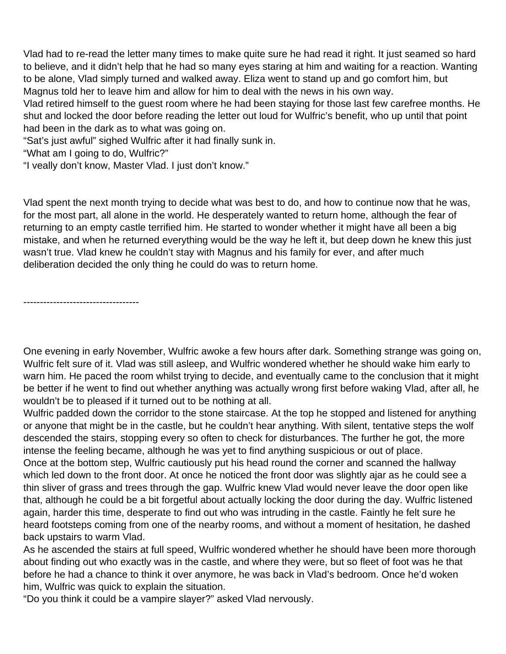Vlad had to re-read the letter many times to make quite sure he had read it right. It just seamed so hard to believe, and it didn't help that he had so many eyes staring at him and waiting for a reaction. Wanting to be alone, Vlad simply turned and walked away. Eliza went to stand up and go comfort him, but Magnus told her to leave him and allow for him to deal with the news in his own way.

Vlad retired himself to the guest room where he had been staying for those last few carefree months. He shut and locked the door before reading the letter out loud for Wulfric's benefit, who up until that point had been in the dark as to what was going on.

"Sat's just awful" sighed Wulfric after it had finally sunk in.

"What am I going to do, Wulfric?"

"I veally don't know, Master Vlad. I just don't know."

Vlad spent the next month trying to decide what was best to do, and how to continue now that he was, for the most part, all alone in the world. He desperately wanted to return home, although the fear of returning to an empty castle terrified him. He started to wonder whether it might have all been a big mistake, and when he returned everything would be the way he left it, but deep down he knew this just wasn't true. Vlad knew he couldn't stay with Magnus and his family for ever, and after much deliberation decided the only thing he could do was to return home.

-----------------------------------

One evening in early November, Wulfric awoke a few hours after dark. Something strange was going on, Wulfric felt sure of it. Vlad was still asleep, and Wulfric wondered whether he should wake him early to warn him. He paced the room whilst trying to decide, and eventually came to the conclusion that it might be better if he went to find out whether anything was actually wrong first before waking Vlad, after all, he wouldn't be to pleased if it turned out to be nothing at all.

Wulfric padded down the corridor to the stone staircase. At the top he stopped and listened for anything or anyone that might be in the castle, but he couldn't hear anything. With silent, tentative steps the wolf descended the stairs, stopping every so often to check for disturbances. The further he got, the more intense the feeling became, although he was yet to find anything suspicious or out of place. Once at the bottom step, Wulfric cautiously put his head round the corner and scanned the hallway which led down to the front door. At once he noticed the front door was slightly ajar as he could see a thin sliver of grass and trees through the gap. Wulfric knew Vlad would never leave the door open like that, although he could be a bit forgetful about actually locking the door during the day. Wulfric listened again, harder this time, desperate to find out who was intruding in the castle. Faintly he felt sure he heard footsteps coming from one of the nearby rooms, and without a moment of hesitation, he dashed back upstairs to warm Vlad.

As he ascended the stairs at full speed, Wulfric wondered whether he should have been more thorough about finding out who exactly was in the castle, and where they were, but so fleet of foot was he that before he had a chance to think it over anymore, he was back in Vlad's bedroom. Once he'd woken him, Wulfric was quick to explain the situation.

"Do you think it could be a vampire slayer?" asked Vlad nervously.